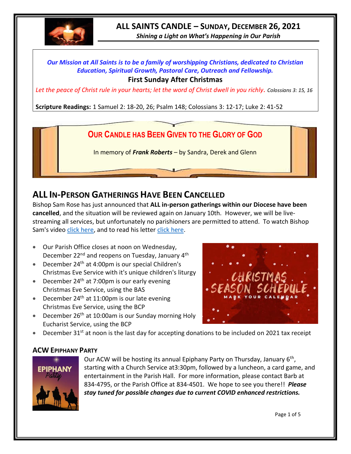

# **ALL SAINTS CANDLE – SUNDAY, DECEMBER 26, 2021**

*Shining a Light on What's Happening in Our Parish*

# *Our Mission at All Saints is to be a family of worshipping Christians, dedicated to Christian Education, Spiritual Growth, Pastoral Care, Outreach and Fellowship.*

#### **First Sunday After Christmas**

*Let the peace of Christ rule in your hearts; let the word of Christ dwell in you richly. Colossians 3: 15, 16*

**Scripture Readings:** 1 Samuel 2: 18-20, 26; Psalm 148; Colossians 3: 12-17; Luke 2: 41-52



# **ALL IN-PERSON GATHERINGS HAVE BEEN CANCELLED**

Bishop Sam Rose has just announced that **ALL in-person gatherings within our Diocese have been cancelled**, and the situation will be reviewed again on January 10th. However, we will be livestreaming all services, but unfortunately no parishioners are permitted to attend. To watch Bishop Sam's video [click here,](https://www.facebook.com/AnglicanEastNL/) and to read his letter [click here.](http://allsaintsparish.ca/document_library/Diocese%20Docs/211223%20Bishops%20Letter%20COVID%20Update.pdf)

- Our Parish Office closes at noon on Wednesday, December 22<sup>nd</sup> and reopens on Tuesday, January 4<sup>th</sup>
- December  $24<sup>th</sup>$  at 4:00pm is our special Children's Christmas Eve Service with it's unique children's liturgy
- December  $24<sup>th</sup>$  at 7:00pm is our early evening Christmas Eve Service, using the BAS
- December  $24<sup>th</sup>$  at 11:00pm is our late evening Christmas Eve Service, using the BCP
- December 26<sup>th</sup> at 10:00am is our Sunday morning Holy Eucharist Service, using the BCP



• December 31<sup>st</sup> at noon is the last day for accepting donations to be included on 2021 tax receipt

#### **ACW EPIPHANY PARTY**



Our ACW will be hosting its annual Epiphany Party on Thursday, January 6<sup>th</sup>, starting with a Church Service at3:30pm, followed by a luncheon, a card game, and entertainment in the Parish Hall. For more information, please contact Barb at 834-4795, or the Parish Office at 834-4501. We hope to see you there!! *Please stay tuned for possible changes due to current COVID enhanced restrictions.*

Page 1 of 5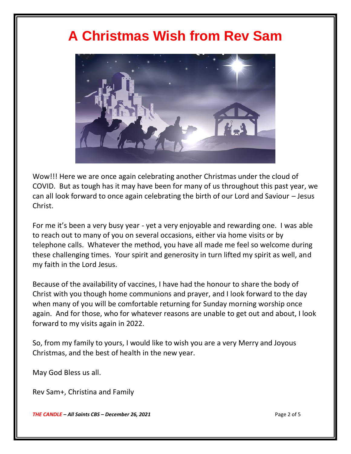# **A Christmas Wish from Rev Sam**



Wow!!! Here we are once again celebrating another Christmas under the cloud of COVID. But as tough has it may have been for many of us throughout this past year, we can all look forward to once again celebrating the birth of our Lord and Saviour – Jesus Christ.

For me it's been a very busy year - yet a very enjoyable and rewarding one. I was able to reach out to many of you on several occasions, either via home visits or by telephone calls. Whatever the method, you have all made me feel so welcome during these challenging times. Your spirit and generosity in turn lifted my spirit as well, and my faith in the Lord Jesus.

Because of the availability of vaccines, I have had the honour to share the body of Christ with you though home communions and prayer, and I look forward to the day when many of you will be comfortable returning for Sunday morning worship once again. And for those, who for whatever reasons are unable to get out and about, I look forward to my visits again in 2022.

So, from my family to yours, I would like to wish you are a very Merry and Joyous Christmas, and the best of health in the new year.

May God Bless us all.

Rev Sam+, Christina and Family

*THE CANDLE – All Saints CBS – December 26, 2021* Page 2 of 5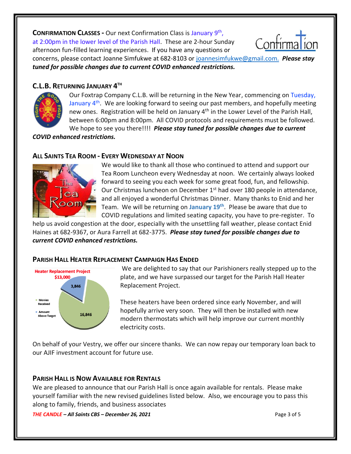**CONFIRMATION CLASSES -** Our next Confirmation Class is January 9th ,

at 2:00pm in the lower level of the Parish Hall. These are 2-hour Sunday afternoon fun-filled learning experiences. If you have any questions or



concerns, please contact Joanne Simfukwe at 682-8103 or [joannesimfukwe@gmail.com.](mailto:joannesimfukwe@gmail.com.P) *Please stay tuned for possible changes due to current COVID enhanced restrictions.*

# **C.L.B. RETURNING JANUARY 4 TH**



Our Foxtrap Company C.L.B. will be returning in the New Year, commencing on Tuesday, January  $4<sup>th</sup>$ . We are looking forward to seeing our past members, and hopefully meeting new ones. Registration will be held on January 4<sup>th</sup> in the Lower Level of the Parish Hall, between 6:00pm and 8:00pm. All COVID protocols and requirements must be followed. We hope to see you there!!!!*Please stay tuned for possible changes due to current* 

*COVID enhanced restrictions.*

# **ALL SAINTS TEA ROOM - EVERY WEDNESDAY AT NOON**



We would like to thank all those who continued to attend and support our Tea Room Luncheon every Wednesday at noon. We certainly always looked forward to seeing you each week for some great food, fun, and fellowship. Our Christmas luncheon on December 1<sup>st</sup> had over 180 people in attendance, and all enjoyed a wonderful Christmas Dinner. Many thanks to Enid and her Team. We will be returning on **January 19th** . Please be aware that due to COVID regulations and limited seating capacity, you have to pre-register. To

help us avoid congestion at the door, especially with the unsettling fall weather, please contact Enid Haines at 682-9367, or Aura Farrell at 682-3775. *Please stay tuned for possible changes due to current COVID enhanced restrictions.*

# **PARISH HALL HEATER REPLACEMENT CAMPAIGN HAS ENDED**



We are delighted to say that our Parishioners really stepped up to the plate, and we have surpassed our target for the Parish Hall Heater Replacement Project.

These heaters have been ordered since early November, and will hopefully arrive very soon. They will then be installed with new modern thermostats which will help improve our current monthly electricity costs.

On behalf of your Vestry, we offer our sincere thanks. We can now repay our temporary loan back to our AJIF investment account for future use.

# **PARISH HALL IS NOW AVAILABLE FOR RENTALS**

We are pleased to announce that our Parish Hall is once again available for rentals. Please make yourself familiar with the new revised guidelines listed below. Also, we encourage you to pass this along to family, friends, and business associates

*THE CANDLE – All Saints CBS – December 26, 2021* Page 3 of 5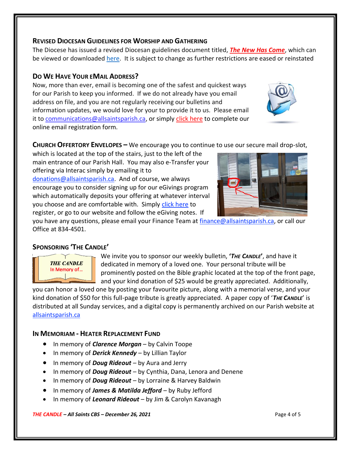#### **REVISED DIOCESAN GUIDELINES FOR WORSHIP AND GATHERING**

The Diocese has issued a revised Diocesan guidelines document titled, *[The New Has Come](https://anglicanenl.net/home/wp-content/uploads/2021/08/The-New-Has-Come-August-10-2021.pdf?fbclid=IwAR2_9nhbxB2LEc3XOqAP_nvoRu4G5Mt6NWIYwOEYNI0OtUl0atv2QwCfCY0)*, which can be viewed or downloaded [here.](https://anglicanenl.net/home/wp-content/uploads/2021/11/The-New-Has-Come-15-Nov-2021.pdf) It is subject to change as further restrictions are eased or reinstated

#### **DO WE HAVE YOUR EMAIL ADDRESS?**

Now, more than ever, email is becoming one of the safest and quickest ways for our Parish to keep you informed. If we do not already have you email address on file, and you are not regularly receiving our bulletins and information updates, we would love for your to provide it to us. Please email it to [communications@allsaintsparish.ca,](mailto:communications@allsaintsparish.ca?subject=eMail%20Address%20Update) or simply [click here](http://allsaintsparish.ca/email_updates) to complete our online email registration form.

**CHURCH OFFERTORY ENVELOPES –** We encourage you to continue to use our secure mail drop-slot,

which is located at the top of the stairs, just to the left of the main entrance of our Parish Hall. You may also e-Transfer your offering via Interac simply by emailing it to [donations@allsaintsparish.ca.](mailto:donations@allsaintsparish.ca) And of course, we always encourage you to consider signing up for our eGivings program which automatically deposits your offering at whatever interval you choose and are comfortable with. Simply [click here](http://allsaintsparish.ca/egiving-online-information-form) to register, or go to our website and follow the eGiving notes. If

you have [any](https://wfsites-to.websitecreatorprotool.com/870a5dd5.com/Admin/%7BSK_NODEID__22939341__SK%7D) questions, please email your Finance Team at [finance@allsaintsparish.ca,](mailto:finance@allsaintsparish.ca) or call our Office at 834-4501.

# **SPONSORING 'THE CANDLE'**

**THE CANDLE** In Memory of... We invite you to sponsor our weekly bulletin, **'***THE CANDLE***'**, and have it dedicated in memory of a loved one. Your personal tribute will be prominently posted on the Bible graphic located at the top of the front page, and your kind donation of \$25 would be greatly appreciated. Additionally,

you can honor a loved one by posting your favourite picture, along with a memorial verse, and your kind donation of \$50 for this full-page tribute is greatly appreciated. A paper copy of '*THE CANDLE*' is distributed at all Sunday services, and a digital copy is permanently archived on our Parish website at [allsaintsparish.ca](http://allsaintsparish.ca/thecandle.html)

#### **IN MEMORIAM - HEATER REPLACEMENT FUND**

- In memory of *Clarence Morgan* by Calvin Toope
- In memory of *Derick Kennedy* by Lillian Taylor
- In memory of *Doug Rideout* by Aura and Jerry
- In memory of *Doug Rideout* by Cynthia, Dana, Lenora and Denene
- In memory of *Doug Rideout* by Lorraine & Harvey Baldwin
- In memory of *James & Matilda Jefford* by Ruby Jefford
- In memory of *Leonard Rideout* by Jim & Carolyn Kavanagh

*THE CANDLE – All Saints CBS – December 26, 2021* Page 4 of 5